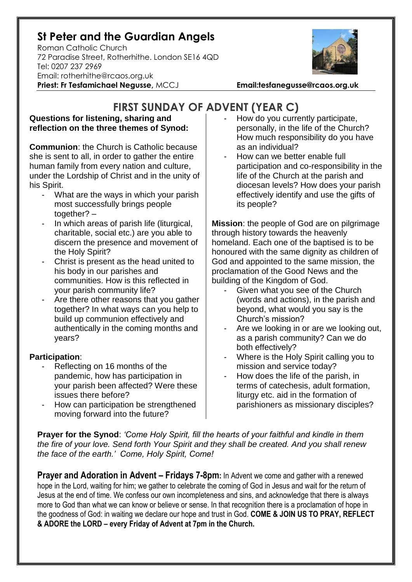## **St Peter and the Guardian Angels**

Roman Catholic Church 72 Paradise Street, Rotherhithe. London SE16 4QD [Tel: 0207](tel:0207) 237 2969 Email: rotherhithe@rcaos.org.uk **Priest: Fr Tesfamichael Negusse,** MCCJ **Email:tesfanegusse@rcaos.org.uk**



**FIRST SUNDAY OF ADVENT (YEAR C)**

## **Questions for listening, sharing and reflection on the three themes of Synod:**

**Communion**: the Church is Catholic because she is sent to all, in order to gather the entire human family from every nation and culture, under the Lordship of Christ and in the unity of his Spirit.

- What are the ways in which your parish most successfully brings people together? –
- In which areas of parish life (liturgical, charitable, social etc.) are you able to discern the presence and movement of the Holy Spirit?
- Christ is present as the head united to his body in our parishes and communities. How is this reflected in your parish community life?
- Are there other reasons that you gather together? In what ways can you help to build up communion effectively and authentically in the coming months and years?

## **Participation**:

- Reflecting on 16 months of the pandemic, how has participation in your parish been affected? Were these issues there before?
- How can participation be strengthened moving forward into the future?
- How do you currently participate, personally, in the life of the Church? How much responsibility do you have as an individual?
- How can we better enable full participation and co-responsibility in the life of the Church at the parish and diocesan levels? How does your parish effectively identify and use the gifts of its people?

**Mission**: the people of God are on pilgrimage through history towards the heavenly homeland. Each one of the baptised is to be honoured with the same dignity as children of God and appointed to the same mission, the proclamation of the Good News and the building of the Kingdom of God.

- Given what you see of the Church (words and actions), in the parish and beyond, what would you say is the Church's mission?
- Are we looking in or are we looking out, as a parish community? Can we do both effectively?
- Where is the Holy Spirit calling you to mission and service today?
- How does the life of the parish, in terms of catechesis, adult formation, liturgy etc. aid in the formation of parishioners as missionary disciples?

**Prayer for the Synod**: *'Come Holy Spirit, fill the hearts of your faithful and kindle in them the fire of your love. Send forth Your Spirit and they shall be created. And you shall renew the face of the earth.' Come, Holy Spirit, Come!*

**Prayer and Adoration in Advent – Fridays 7-8pm:** In Advent we come and gather with a renewed hope in the Lord, waiting for him; we gather to celebrate the coming of God in Jesus and wait for the return of Jesus at the end of time. We confess our own incompleteness and sins, and acknowledge that there is always more to God than what we can know or believe or sense. In that recognition there is a proclamation of hope in the goodness of God: in waiting we declare our hope and trust in God. **COME & JOIN US TO PRAY, REFLECT & ADORE the LORD – every Friday of Advent at 7pm in the Church.**